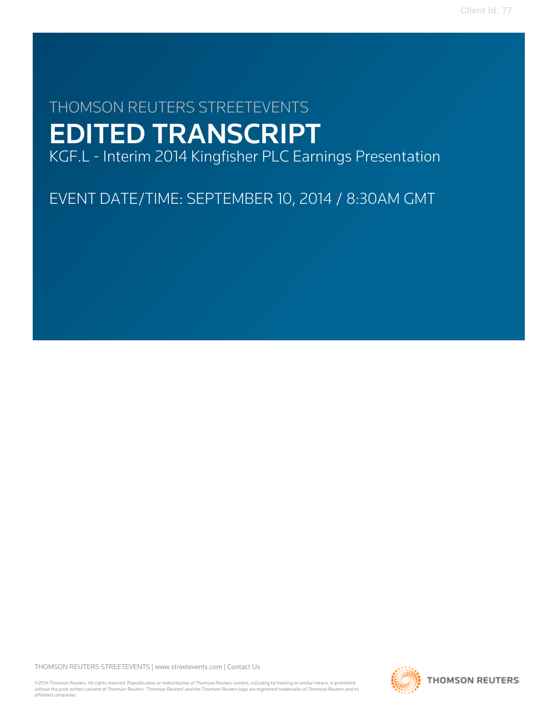# THOMSON REUTERS STREETEVENTS EDITED TRANSCRIPT

KGF.L - Interim 2014 Kingfisher PLC Earnings Presentation

EVENT DATE/TIME: SEPTEMBER 10, 2014 / 8:30AM GMT

THOMSON REUTERS STREETEVENTS | [www.streetevents.com](http://www.streetevents.com) | [Contact Us](http://www010.streetevents.com/contact.asp)

©2014 Thomson Reuters. All rights reserved. Republication or redistribution of Thomson Reuters content, including by framing or similar means, is prohibited without the prior written consent of Thomson Reuters. 'Thomson Reuters' and the Thomson Reuters logo are registered trademarks of Thomson Reuters and its affiliated companies.

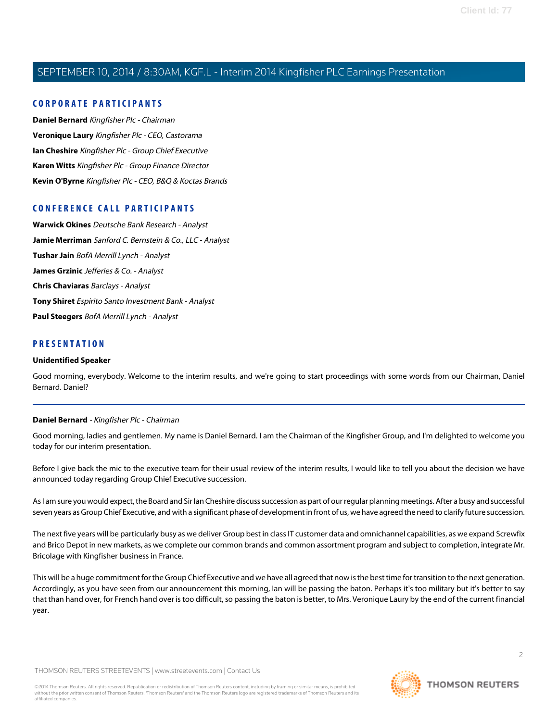#### **CORPORATE PARTICIPANTS**

**[Daniel Bernard](#page-1-0)** Kingfisher Plc - Chairman **[Veronique Laury](#page-2-0)** Kingfisher Plc - CEO, Castorama **[Ian Cheshire](#page-3-0)** Kingfisher Plc - Group Chief Executive **[Karen Witts](#page-4-0)** Kingfisher Plc - Group Finance Director **[Kevin O'Byrne](#page-8-0)** Kingfisher Plc - CEO, B&Q & Koctas Brands

#### **CONFERENCE CALL PARTICIPANTS**

**[Warwick Okines](#page-17-0)** Deutsche Bank Research - Analyst **[Jamie Merriman](#page-19-0)** Sanford C. Bernstein & Co., LLC - Analyst **[Tushar Jain](#page-19-1)** BofA Merrill Lynch - Analyst **[James Grzinic](#page-20-0)** Jefferies & Co. - Analyst **[Chris Chaviaras](#page-20-1)** Barclays - Analyst **[Tony Shiret](#page-22-0)** Espirito Santo Investment Bank - Analyst **[Paul Steegers](#page-24-0)** BofA Merrill Lynch - Analyst

#### **PRESENTATION**

#### **Unidentified Speaker**

<span id="page-1-0"></span>Good morning, everybody. Welcome to the interim results, and we're going to start proceedings with some words from our Chairman, Daniel Bernard. Daniel?

#### **Daniel Bernard** - Kingfisher Plc - Chairman

Good morning, ladies and gentlemen. My name is Daniel Bernard. I am the Chairman of the Kingfisher Group, and I'm delighted to welcome you today for our interim presentation.

Before I give back the mic to the executive team for their usual review of the interim results, I would like to tell you about the decision we have announced today regarding Group Chief Executive succession.

As I am sure you would expect, the Board and Sir Ian Cheshire discuss succession as part of our regular planning meetings. After a busy and successful seven years as Group Chief Executive, and with a significant phase of development in front of us, we have agreed the need to clarify future succession.

The next five years will be particularly busy as we deliver Group best in class IT customer data and omnichannel capabilities, as we expand Screwfix and Brico Depot in new markets, as we complete our common brands and common assortment program and subject to completion, integrate Mr. Bricolage with Kingfisher business in France.

This will be a huge commitment for the Group Chief Executive and we have all agreed that now is the best time for transition to the next generation. Accordingly, as you have seen from our announcement this morning, Ian will be passing the baton. Perhaps it's too military but it's better to say that than hand over, for French hand over is too difficult, so passing the baton is better, to Mrs. Veronique Laury by the end of the current financial year.

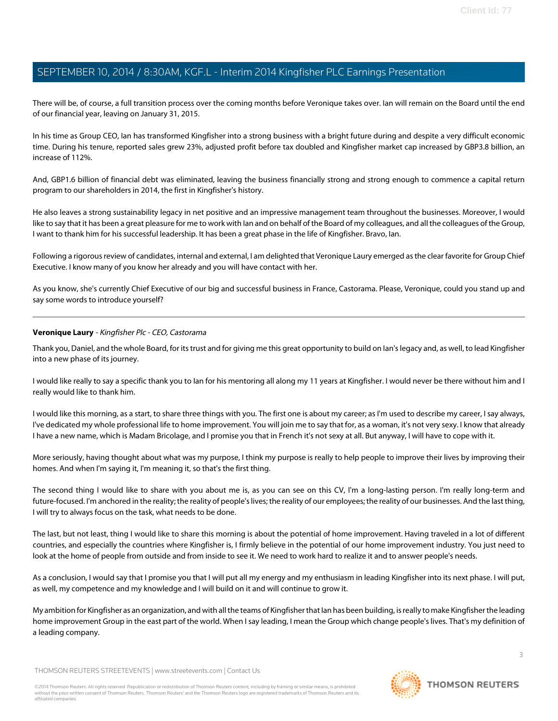There will be, of course, a full transition process over the coming months before Veronique takes over. Ian will remain on the Board until the end of our financial year, leaving on January 31, 2015.

In his time as Group CEO, Ian has transformed Kingfisher into a strong business with a bright future during and despite a very difficult economic time. During his tenure, reported sales grew 23%, adjusted profit before tax doubled and Kingfisher market cap increased by GBP3.8 billion, an increase of 112%.

And, GBP1.6 billion of financial debt was eliminated, leaving the business financially strong and strong enough to commence a capital return program to our shareholders in 2014, the first in Kingfisher's history.

He also leaves a strong sustainability legacy in net positive and an impressive management team throughout the businesses. Moreover, I would like to say that it has been a great pleasure for me to work with Ian and on behalf of the Board of my colleagues, and all the colleagues of the Group, I want to thank him for his successful leadership. It has been a great phase in the life of Kingfisher. Bravo, Ian.

Following a rigorous review of candidates, internal and external, I am delighted that Veronique Laury emerged as the clear favorite for Group Chief Executive. I know many of you know her already and you will have contact with her.

<span id="page-2-0"></span>As you know, she's currently Chief Executive of our big and successful business in France, Castorama. Please, Veronique, could you stand up and say some words to introduce yourself?

#### **Veronique Laury** - Kingfisher Plc - CEO, Castorama

Thank you, Daniel, and the whole Board, for its trust and for giving me this great opportunity to build on Ian's legacy and, as well, to lead Kingfisher into a new phase of its journey.

I would like really to say a specific thank you to Ian for his mentoring all along my 11 years at Kingfisher. I would never be there without him and I really would like to thank him.

I would like this morning, as a start, to share three things with you. The first one is about my career; as I'm used to describe my career, I say always, I've dedicated my whole professional life to home improvement. You will join me to say that for, as a woman, it's not very sexy. I know that already I have a new name, which is Madam Bricolage, and I promise you that in French it's not sexy at all. But anyway, I will have to cope with it.

More seriously, having thought about what was my purpose, I think my purpose is really to help people to improve their lives by improving their homes. And when I'm saying it, I'm meaning it, so that's the first thing.

The second thing I would like to share with you about me is, as you can see on this CV, I'm a long-lasting person. I'm really long-term and future-focused. I'm anchored in the reality; the reality of people's lives; the reality of our employees; the reality of our businesses. And the last thing, I will try to always focus on the task, what needs to be done.

The last, but not least, thing I would like to share this morning is about the potential of home improvement. Having traveled in a lot of different countries, and especially the countries where Kingfisher is, I firmly believe in the potential of our home improvement industry. You just need to look at the home of people from outside and from inside to see it. We need to work hard to realize it and to answer people's needs.

As a conclusion, I would say that I promise you that I will put all my energy and my enthusiasm in leading Kingfisher into its next phase. I will put, as well, my competence and my knowledge and I will build on it and will continue to grow it.

My ambition for Kingfisher as an organization, and with all the teams of Kingfisher that Ian has been building, is really to make Kingfisher the leading home improvement Group in the east part of the world. When I say leading, I mean the Group which change people's lives. That's my definition of a leading company.

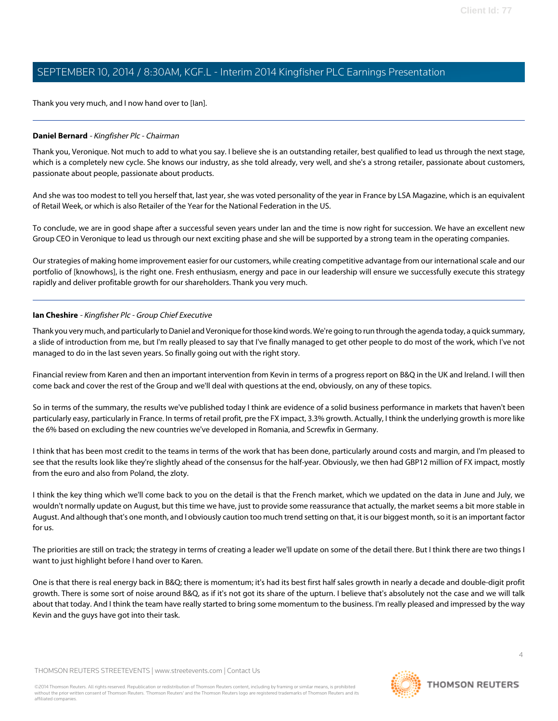Thank you very much, and I now hand over to [Ian].

#### **Daniel Bernard** - Kingfisher Plc - Chairman

Thank you, Veronique. Not much to add to what you say. I believe she is an outstanding retailer, best qualified to lead us through the next stage, which is a completely new cycle. She knows our industry, as she told already, very well, and she's a strong retailer, passionate about customers, passionate about people, passionate about products.

And she was too modest to tell you herself that, last year, she was voted personality of the year in France by LSA Magazine, which is an equivalent of Retail Week, or which is also Retailer of the Year for the National Federation in the US.

To conclude, we are in good shape after a successful seven years under Ian and the time is now right for succession. We have an excellent new Group CEO in Veronique to lead us through our next exciting phase and she will be supported by a strong team in the operating companies.

<span id="page-3-0"></span>Our strategies of making home improvement easier for our customers, while creating competitive advantage from our international scale and our portfolio of [knowhows], is the right one. Fresh enthusiasm, energy and pace in our leadership will ensure we successfully execute this strategy rapidly and deliver profitable growth for our shareholders. Thank you very much.

#### **Ian Cheshire** - Kingfisher Plc - Group Chief Executive

Thank you very much, and particularly to Daniel and Veronique for those kind words. We're going to run through the agenda today, a quick summary, a slide of introduction from me, but I'm really pleased to say that I've finally managed to get other people to do most of the work, which I've not managed to do in the last seven years. So finally going out with the right story.

Financial review from Karen and then an important intervention from Kevin in terms of a progress report on B&Q in the UK and Ireland. I will then come back and cover the rest of the Group and we'll deal with questions at the end, obviously, on any of these topics.

So in terms of the summary, the results we've published today I think are evidence of a solid business performance in markets that haven't been particularly easy, particularly in France. In terms of retail profit, pre the FX impact, 3.3% growth. Actually, I think the underlying growth is more like the 6% based on excluding the new countries we've developed in Romania, and Screwfix in Germany.

I think that has been most credit to the teams in terms of the work that has been done, particularly around costs and margin, and I'm pleased to see that the results look like they're slightly ahead of the consensus for the half-year. Obviously, we then had GBP12 million of FX impact, mostly from the euro and also from Poland, the zloty.

I think the key thing which we'll come back to you on the detail is that the French market, which we updated on the data in June and July, we wouldn't normally update on August, but this time we have, just to provide some reassurance that actually, the market seems a bit more stable in August. And although that's one month, and I obviously caution too much trend setting on that, it is our biggest month, so it is an important factor for us.

The priorities are still on track; the strategy in terms of creating a leader we'll update on some of the detail there. But I think there are two things I want to just highlight before I hand over to Karen.

One is that there is real energy back in B&Q; there is momentum; it's had its best first half sales growth in nearly a decade and double-digit profit growth. There is some sort of noise around B&Q, as if it's not got its share of the upturn. I believe that's absolutely not the case and we will talk about that today. And I think the team have really started to bring some momentum to the business. I'm really pleased and impressed by the way Kevin and the guys have got into their task.

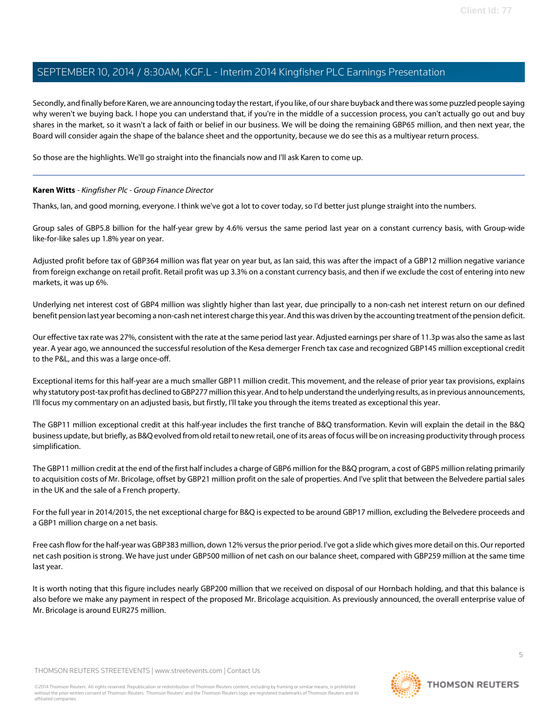Secondly, and finally before Karen, we are announcing today the restart, if you like, of our share buyback and there was some puzzled people saying why weren't we buying back. I hope you can understand that, if you're in the middle of a succession process, you can't actually go out and buy shares in the market, so it wasn't a lack of faith or belief in our business. We will be doing the remaining GBP65 million, and then next year, the Board will consider again the shape of the balance sheet and the opportunity, because we do see this as a multiyear return process.

<span id="page-4-0"></span>So those are the highlights. We'll go straight into the financials now and I'll ask Karen to come up.

#### **Karen Witts** - Kingfisher Plc - Group Finance Director

Thanks, Ian, and good morning, everyone. I think we've got a lot to cover today, so I'd better just plunge straight into the numbers.

Group sales of GBP5.8 billion for the half-year grew by 4.6% versus the same period last year on a constant currency basis, with Group-wide like-for-like sales up 1.8% year on year.

Adjusted profit before tax of GBP364 million was flat year on year but, as Ian said, this was after the impact of a GBP12 million negative variance from foreign exchange on retail profit. Retail profit was up 3.3% on a constant currency basis, and then if we exclude the cost of entering into new markets, it was up 6%.

Underlying net interest cost of GBP4 million was slightly higher than last year, due principally to a non-cash net interest return on our defined benefit pension last year becoming a non-cash net interest charge this year. And this was driven by the accounting treatment of the pension deficit.

Our effective tax rate was 27%, consistent with the rate at the same period last year. Adjusted earnings per share of 11.3p was also the same as last year. A year ago, we announced the successful resolution of the Kesa demerger French tax case and recognized GBP145 million exceptional credit to the P&L, and this was a large once-off.

Exceptional items for this half-year are a much smaller GBP11 million credit. This movement, and the release of prior year tax provisions, explains why statutory post-tax profit has declined to GBP277 million this year. And to help understand the underlying results, as in previous announcements, I'll focus my commentary on an adjusted basis, but firstly, I'll take you through the items treated as exceptional this year.

The GBP11 million exceptional credit at this half-year includes the first tranche of B&Q transformation. Kevin will explain the detail in the B&Q business update, but briefly, as B&Q evolved from old retail to new retail, one of its areas of focus will be on increasing productivity through process simplification.

The GBP11 million credit at the end of the first half includes a charge of GBP6 million for the B&Q program, a cost of GBP5 million relating primarily to acquisition costs of Mr. Bricolage, offset by GBP21 million profit on the sale of properties. And I've split that between the Belvedere partial sales in the UK and the sale of a French property.

For the full year in 2014/2015, the net exceptional charge for B&Q is expected to be around GBP17 million, excluding the Belvedere proceeds and a GBP1 million charge on a net basis.

Free cash flow for the half-year was GBP383 million, down 12% versus the prior period. I've got a slide which gives more detail on this. Our reported net cash position is strong. We have just under GBP500 million of net cash on our balance sheet, compared with GBP259 million at the same time last year.

It is worth noting that this figure includes nearly GBP200 million that we received on disposal of our Hornbach holding, and that this balance is also before we make any payment in respect of the proposed Mr. Bricolage acquisition. As previously announced, the overall enterprise value of Mr. Bricolage is around EUR275 million.

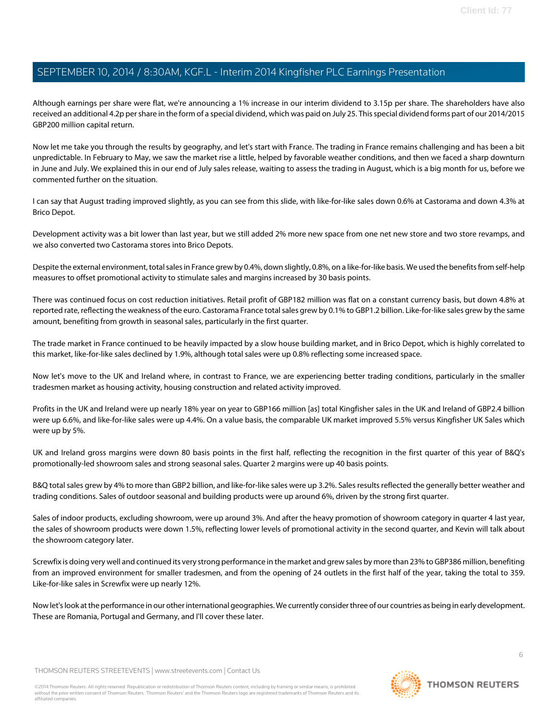Although earnings per share were flat, we're announcing a 1% increase in our interim dividend to 3.15p per share. The shareholders have also received an additional 4.2p per share in the form of a special dividend, which was paid on July 25. This special dividend forms part of our 2014/2015 GBP200 million capital return.

Now let me take you through the results by geography, and let's start with France. The trading in France remains challenging and has been a bit unpredictable. In February to May, we saw the market rise a little, helped by favorable weather conditions, and then we faced a sharp downturn in June and July. We explained this in our end of July sales release, waiting to assess the trading in August, which is a big month for us, before we commented further on the situation.

I can say that August trading improved slightly, as you can see from this slide, with like-for-like sales down 0.6% at Castorama and down 4.3% at Brico Depot.

Development activity was a bit lower than last year, but we still added 2% more new space from one net new store and two store revamps, and we also converted two Castorama stores into Brico Depots.

Despite the external environment, total sales in France grew by 0.4%, down slightly, 0.8%, on a like-for-like basis. We used the benefits from self-help measures to offset promotional activity to stimulate sales and margins increased by 30 basis points.

There was continued focus on cost reduction initiatives. Retail profit of GBP182 million was flat on a constant currency basis, but down 4.8% at reported rate, reflecting the weakness of the euro. Castorama France total sales grew by 0.1% to GBP1.2 billion. Like-for-like sales grew by the same amount, benefiting from growth in seasonal sales, particularly in the first quarter.

The trade market in France continued to be heavily impacted by a slow house building market, and in Brico Depot, which is highly correlated to this market, like-for-like sales declined by 1.9%, although total sales were up 0.8% reflecting some increased space.

Now let's move to the UK and Ireland where, in contrast to France, we are experiencing better trading conditions, particularly in the smaller tradesmen market as housing activity, housing construction and related activity improved.

Profits in the UK and Ireland were up nearly 18% year on year to GBP166 million [as] total Kingfisher sales in the UK and Ireland of GBP2.4 billion were up 6.6%, and like-for-like sales were up 4.4%. On a value basis, the comparable UK market improved 5.5% versus Kingfisher UK Sales which were up by 5%.

UK and Ireland gross margins were down 80 basis points in the first half, reflecting the recognition in the first quarter of this year of B&Q's promotionally-led showroom sales and strong seasonal sales. Quarter 2 margins were up 40 basis points.

B&Q total sales grew by 4% to more than GBP2 billion, and like-for-like sales were up 3.2%. Sales results reflected the generally better weather and trading conditions. Sales of outdoor seasonal and building products were up around 6%, driven by the strong first quarter.

Sales of indoor products, excluding showroom, were up around 3%. And after the heavy promotion of showroom category in quarter 4 last year, the sales of showroom products were down 1.5%, reflecting lower levels of promotional activity in the second quarter, and Kevin will talk about the showroom category later.

Screwfix is doing very well and continued its very strong performance in the market and grew sales by more than 23% to GBP386 million, benefiting from an improved environment for smaller tradesmen, and from the opening of 24 outlets in the first half of the year, taking the total to 359. Like-for-like sales in Screwfix were up nearly 12%.

Now let's look at the performance in our other international geographies. We currently consider three of our countries as being in early development. These are Romania, Portugal and Germany, and I'll cover these later.

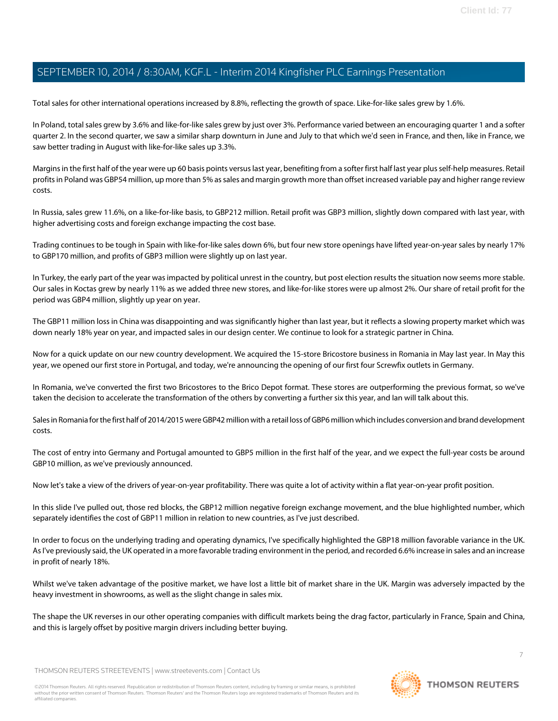Total sales for other international operations increased by 8.8%, reflecting the growth of space. Like-for-like sales grew by 1.6%.

In Poland, total sales grew by 3.6% and like-for-like sales grew by just over 3%. Performance varied between an encouraging quarter 1 and a softer quarter 2. In the second quarter, we saw a similar sharp downturn in June and July to that which we'd seen in France, and then, like in France, we saw better trading in August with like-for-like sales up 3.3%.

Margins in the first half of the year were up 60 basis points versus last year, benefiting from a softer first half last year plus self-help measures. Retail profits in Poland was GBP54 million, up more than 5% as sales and margin growth more than offset increased variable pay and higher range review costs.

In Russia, sales grew 11.6%, on a like-for-like basis, to GBP212 million. Retail profit was GBP3 million, slightly down compared with last year, with higher advertising costs and foreign exchange impacting the cost base.

Trading continues to be tough in Spain with like-for-like sales down 6%, but four new store openings have lifted year-on-year sales by nearly 17% to GBP170 million, and profits of GBP3 million were slightly up on last year.

In Turkey, the early part of the year was impacted by political unrest in the country, but post election results the situation now seems more stable. Our sales in Koctas grew by nearly 11% as we added three new stores, and like-for-like stores were up almost 2%. Our share of retail profit for the period was GBP4 million, slightly up year on year.

The GBP11 million loss in China was disappointing and was significantly higher than last year, but it reflects a slowing property market which was down nearly 18% year on year, and impacted sales in our design center. We continue to look for a strategic partner in China.

Now for a quick update on our new country development. We acquired the 15-store Bricostore business in Romania in May last year. In May this year, we opened our first store in Portugal, and today, we're announcing the opening of our first four Screwfix outlets in Germany.

In Romania, we've converted the first two Bricostores to the Brico Depot format. These stores are outperforming the previous format, so we've taken the decision to accelerate the transformation of the others by converting a further six this year, and Ian will talk about this.

Sales in Romania for the first half of 2014/2015 were GBP42 million with a retail loss of GBP6 million which includes conversion and brand development costs.

The cost of entry into Germany and Portugal amounted to GBP5 million in the first half of the year, and we expect the full-year costs be around GBP10 million, as we've previously announced.

Now let's take a view of the drivers of year-on-year profitability. There was quite a lot of activity within a flat year-on-year profit position.

In this slide I've pulled out, those red blocks, the GBP12 million negative foreign exchange movement, and the blue highlighted number, which separately identifies the cost of GBP11 million in relation to new countries, as I've just described.

In order to focus on the underlying trading and operating dynamics, I've specifically highlighted the GBP18 million favorable variance in the UK. As I've previously said, the UK operated in a more favorable trading environment in the period, and recorded 6.6% increase in sales and an increase in profit of nearly 18%.

Whilst we've taken advantage of the positive market, we have lost a little bit of market share in the UK. Margin was adversely impacted by the heavy investment in showrooms, as well as the slight change in sales mix.

The shape the UK reverses in our other operating companies with difficult markets being the drag factor, particularly in France, Spain and China, and this is largely offset by positive margin drivers including better buying.

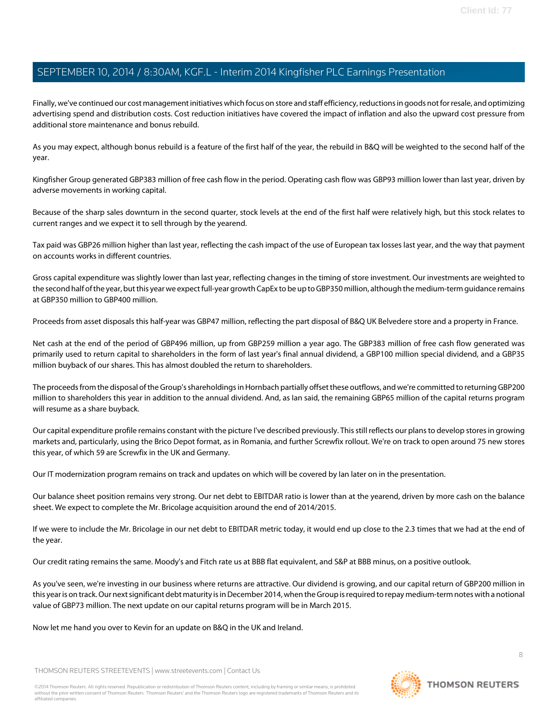Finally, we've continued our cost management initiatives which focus on store and staff efficiency, reductions in goods not for resale, and optimizing advertising spend and distribution costs. Cost reduction initiatives have covered the impact of inflation and also the upward cost pressure from additional store maintenance and bonus rebuild.

As you may expect, although bonus rebuild is a feature of the first half of the year, the rebuild in B&Q will be weighted to the second half of the year.

Kingfisher Group generated GBP383 million of free cash flow in the period. Operating cash flow was GBP93 million lower than last year, driven by adverse movements in working capital.

Because of the sharp sales downturn in the second quarter, stock levels at the end of the first half were relatively high, but this stock relates to current ranges and we expect it to sell through by the yearend.

Tax paid was GBP26 million higher than last year, reflecting the cash impact of the use of European tax losses last year, and the way that payment on accounts works in different countries.

Gross capital expenditure was slightly lower than last year, reflecting changes in the timing of store investment. Our investments are weighted to the second half of the year, but this year we expect full-year growth CapEx to be up to GBP350 million, although the medium-term guidance remains at GBP350 million to GBP400 million.

Proceeds from asset disposals this half-year was GBP47 million, reflecting the part disposal of B&Q UK Belvedere store and a property in France.

Net cash at the end of the period of GBP496 million, up from GBP259 million a year ago. The GBP383 million of free cash flow generated was primarily used to return capital to shareholders in the form of last year's final annual dividend, a GBP100 million special dividend, and a GBP35 million buyback of our shares. This has almost doubled the return to shareholders.

The proceeds from the disposal of the Group's shareholdings in Hornbach partially offset these outflows, and we're committed to returning GBP200 million to shareholders this year in addition to the annual dividend. And, as Ian said, the remaining GBP65 million of the capital returns program will resume as a share buyback.

Our capital expenditure profile remains constant with the picture I've described previously. This still reflects our plans to develop stores in growing markets and, particularly, using the Brico Depot format, as in Romania, and further Screwfix rollout. We're on track to open around 75 new stores this year, of which 59 are Screwfix in the UK and Germany.

Our IT modernization program remains on track and updates on which will be covered by Ian later on in the presentation.

Our balance sheet position remains very strong. Our net debt to EBITDAR ratio is lower than at the yearend, driven by more cash on the balance sheet. We expect to complete the Mr. Bricolage acquisition around the end of 2014/2015.

If we were to include the Mr. Bricolage in our net debt to EBITDAR metric today, it would end up close to the 2.3 times that we had at the end of the year.

Our credit rating remains the same. Moody's and Fitch rate us at BBB flat equivalent, and S&P at BBB minus, on a positive outlook.

As you've seen, we're investing in our business where returns are attractive. Our dividend is growing, and our capital return of GBP200 million in this year is on track. Our next significant debt maturity is in December 2014, when the Group is required to repay medium-term notes with a notional value of GBP73 million. The next update on our capital returns program will be in March 2015.

Now let me hand you over to Kevin for an update on B&Q in the UK and Ireland.

THOMSON REUTERS STREETEVENTS | [www.streetevents.com](http://www.streetevents.com) | [Contact Us](http://www010.streetevents.com/contact.asp)

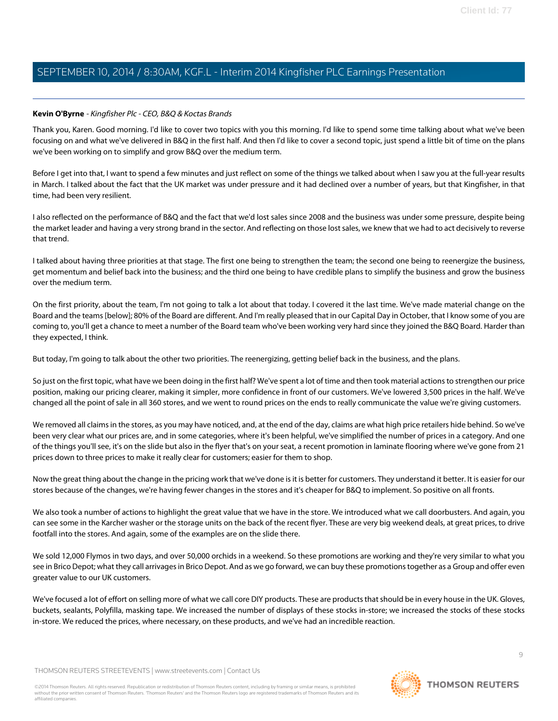#### <span id="page-8-0"></span>**Kevin O'Byrne** - Kingfisher Plc - CEO, B&Q & Koctas Brands

Thank you, Karen. Good morning. I'd like to cover two topics with you this morning. I'd like to spend some time talking about what we've been focusing on and what we've delivered in B&Q in the first half. And then I'd like to cover a second topic, just spend a little bit of time on the plans we've been working on to simplify and grow B&Q over the medium term.

Before I get into that, I want to spend a few minutes and just reflect on some of the things we talked about when I saw you at the full-year results in March. I talked about the fact that the UK market was under pressure and it had declined over a number of years, but that Kingfisher, in that time, had been very resilient.

I also reflected on the performance of B&Q and the fact that we'd lost sales since 2008 and the business was under some pressure, despite being the market leader and having a very strong brand in the sector. And reflecting on those lost sales, we knew that we had to act decisively to reverse that trend.

I talked about having three priorities at that stage. The first one being to strengthen the team; the second one being to reenergize the business, get momentum and belief back into the business; and the third one being to have credible plans to simplify the business and grow the business over the medium term.

On the first priority, about the team, I'm not going to talk a lot about that today. I covered it the last time. We've made material change on the Board and the teams [below]; 80% of the Board are different. And I'm really pleased that in our Capital Day in October, that I know some of you are coming to, you'll get a chance to meet a number of the Board team who've been working very hard since they joined the B&Q Board. Harder than they expected, I think.

But today, I'm going to talk about the other two priorities. The reenergizing, getting belief back in the business, and the plans.

So just on the first topic, what have we been doing in the first half? We've spent a lot of time and then took material actions to strengthen our price position, making our pricing clearer, making it simpler, more confidence in front of our customers. We've lowered 3,500 prices in the half. We've changed all the point of sale in all 360 stores, and we went to round prices on the ends to really communicate the value we're giving customers.

We removed all claims in the stores, as you may have noticed, and, at the end of the day, claims are what high price retailers hide behind. So we've been very clear what our prices are, and in some categories, where it's been helpful, we've simplified the number of prices in a category. And one of the things you'll see, it's on the slide but also in the flyer that's on your seat, a recent promotion in laminate flooring where we've gone from 21 prices down to three prices to make it really clear for customers; easier for them to shop.

Now the great thing about the change in the pricing work that we've done is it is better for customers. They understand it better. It is easier for our stores because of the changes, we're having fewer changes in the stores and it's cheaper for B&Q to implement. So positive on all fronts.

We also took a number of actions to highlight the great value that we have in the store. We introduced what we call doorbusters. And again, you can see some in the Karcher washer or the storage units on the back of the recent flyer. These are very big weekend deals, at great prices, to drive footfall into the stores. And again, some of the examples are on the slide there.

We sold 12,000 Flymos in two days, and over 50,000 orchids in a weekend. So these promotions are working and they're very similar to what you see in Brico Depot; what they call arrivages in Brico Depot. And as we go forward, we can buy these promotions together as a Group and offer even greater value to our UK customers.

We've focused a lot of effort on selling more of what we call core DIY products. These are products that should be in every house in the UK. Gloves, buckets, sealants, Polyfilla, masking tape. We increased the number of displays of these stocks in-store; we increased the stocks of these stocks in-store. We reduced the prices, where necessary, on these products, and we've had an incredible reaction.

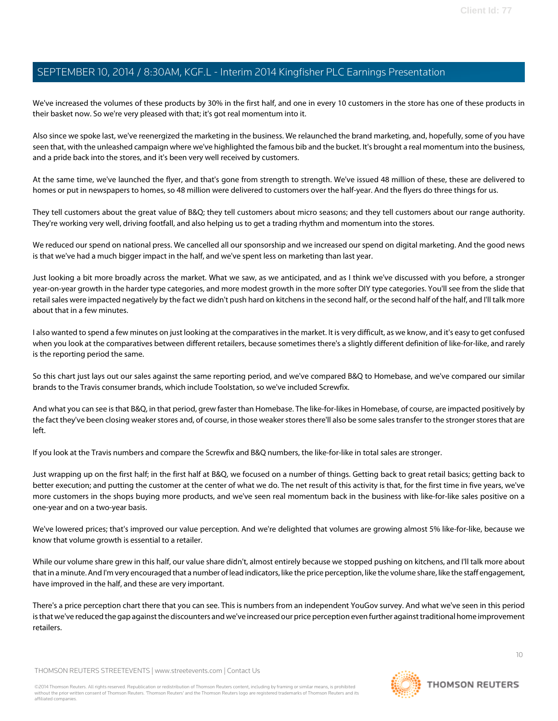We've increased the volumes of these products by 30% in the first half, and one in every 10 customers in the store has one of these products in their basket now. So we're very pleased with that; it's got real momentum into it.

Also since we spoke last, we've reenergized the marketing in the business. We relaunched the brand marketing, and, hopefully, some of you have seen that, with the unleashed campaign where we've highlighted the famous bib and the bucket. It's brought a real momentum into the business, and a pride back into the stores, and it's been very well received by customers.

At the same time, we've launched the flyer, and that's gone from strength to strength. We've issued 48 million of these, these are delivered to homes or put in newspapers to homes, so 48 million were delivered to customers over the half-year. And the flyers do three things for us.

They tell customers about the great value of B&Q; they tell customers about micro seasons; and they tell customers about our range authority. They're working very well, driving footfall, and also helping us to get a trading rhythm and momentum into the stores.

We reduced our spend on national press. We cancelled all our sponsorship and we increased our spend on digital marketing. And the good news is that we've had a much bigger impact in the half, and we've spent less on marketing than last year.

Just looking a bit more broadly across the market. What we saw, as we anticipated, and as I think we've discussed with you before, a stronger year-on-year growth in the harder type categories, and more modest growth in the more softer DIY type categories. You'll see from the slide that retail sales were impacted negatively by the fact we didn't push hard on kitchens in the second half, or the second half of the half, and I'll talk more about that in a few minutes.

I also wanted to spend a few minutes on just looking at the comparatives in the market. It is very difficult, as we know, and it's easy to get confused when you look at the comparatives between different retailers, because sometimes there's a slightly different definition of like-for-like, and rarely is the reporting period the same.

So this chart just lays out our sales against the same reporting period, and we've compared B&Q to Homebase, and we've compared our similar brands to the Travis consumer brands, which include Toolstation, so we've included Screwfix.

And what you can see is that B&Q, in that period, grew faster than Homebase. The like-for-likes in Homebase, of course, are impacted positively by the fact they've been closing weaker stores and, of course, in those weaker stores there'll also be some sales transfer to the stronger stores that are left.

If you look at the Travis numbers and compare the Screwfix and B&Q numbers, the like-for-like in total sales are stronger.

Just wrapping up on the first half; in the first half at B&Q, we focused on a number of things. Getting back to great retail basics; getting back to better execution; and putting the customer at the center of what we do. The net result of this activity is that, for the first time in five years, we've more customers in the shops buying more products, and we've seen real momentum back in the business with like-for-like sales positive on a one-year and on a two-year basis.

We've lowered prices; that's improved our value perception. And we're delighted that volumes are growing almost 5% like-for-like, because we know that volume growth is essential to a retailer.

While our volume share grew in this half, our value share didn't, almost entirely because we stopped pushing on kitchens, and I'll talk more about that in a minute. And I'm very encouraged that a number of lead indicators, like the price perception, like the volume share, like the staff engagement, have improved in the half, and these are very important.

There's a price perception chart there that you can see. This is numbers from an independent YouGov survey. And what we've seen in this period is that we've reduced the gap against the discounters and we've increased our price perception even further against traditional home improvement retailers.

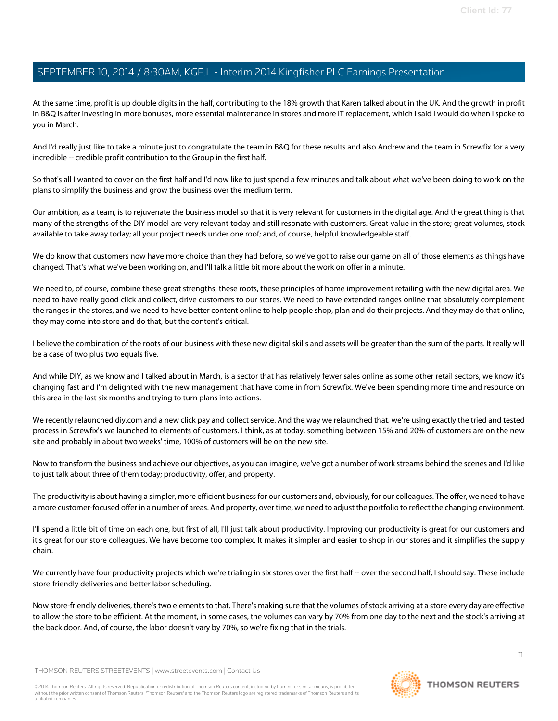At the same time, profit is up double digits in the half, contributing to the 18% growth that Karen talked about in the UK. And the growth in profit in B&Q is after investing in more bonuses, more essential maintenance in stores and more IT replacement, which I said I would do when I spoke to you in March.

And I'd really just like to take a minute just to congratulate the team in B&Q for these results and also Andrew and the team in Screwfix for a very incredible -- credible profit contribution to the Group in the first half.

So that's all I wanted to cover on the first half and I'd now like to just spend a few minutes and talk about what we've been doing to work on the plans to simplify the business and grow the business over the medium term.

Our ambition, as a team, is to rejuvenate the business model so that it is very relevant for customers in the digital age. And the great thing is that many of the strengths of the DIY model are very relevant today and still resonate with customers. Great value in the store; great volumes, stock available to take away today; all your project needs under one roof; and, of course, helpful knowledgeable staff.

We do know that customers now have more choice than they had before, so we've got to raise our game on all of those elements as things have changed. That's what we've been working on, and I'll talk a little bit more about the work on offer in a minute.

We need to, of course, combine these great strengths, these roots, these principles of home improvement retailing with the new digital area. We need to have really good click and collect, drive customers to our stores. We need to have extended ranges online that absolutely complement the ranges in the stores, and we need to have better content online to help people shop, plan and do their projects. And they may do that online, they may come into store and do that, but the content's critical.

I believe the combination of the roots of our business with these new digital skills and assets will be greater than the sum of the parts. It really will be a case of two plus two equals five.

And while DIY, as we know and I talked about in March, is a sector that has relatively fewer sales online as some other retail sectors, we know it's changing fast and I'm delighted with the new management that have come in from Screwfix. We've been spending more time and resource on this area in the last six months and trying to turn plans into actions.

We recently relaunched diy.com and a new click pay and collect service. And the way we relaunched that, we're using exactly the tried and tested process in Screwfix's we launched to elements of customers. I think, as at today, something between 15% and 20% of customers are on the new site and probably in about two weeks' time, 100% of customers will be on the new site.

Now to transform the business and achieve our objectives, as you can imagine, we've got a number of work streams behind the scenes and I'd like to just talk about three of them today; productivity, offer, and property.

The productivity is about having a simpler, more efficient business for our customers and, obviously, for our colleagues. The offer, we need to have a more customer-focused offer in a number of areas. And property, over time, we need to adjust the portfolio to reflect the changing environment.

I'll spend a little bit of time on each one, but first of all, I'll just talk about productivity. Improving our productivity is great for our customers and it's great for our store colleagues. We have become too complex. It makes it simpler and easier to shop in our stores and it simplifies the supply chain.

We currently have four productivity projects which we're trialing in six stores over the first half -- over the second half, I should say. These include store-friendly deliveries and better labor scheduling.

Now store-friendly deliveries, there's two elements to that. There's making sure that the volumes of stock arriving at a store every day are effective to allow the store to be efficient. At the moment, in some cases, the volumes can vary by 70% from one day to the next and the stock's arriving at the back door. And, of course, the labor doesn't vary by 70%, so we're fixing that in the trials.

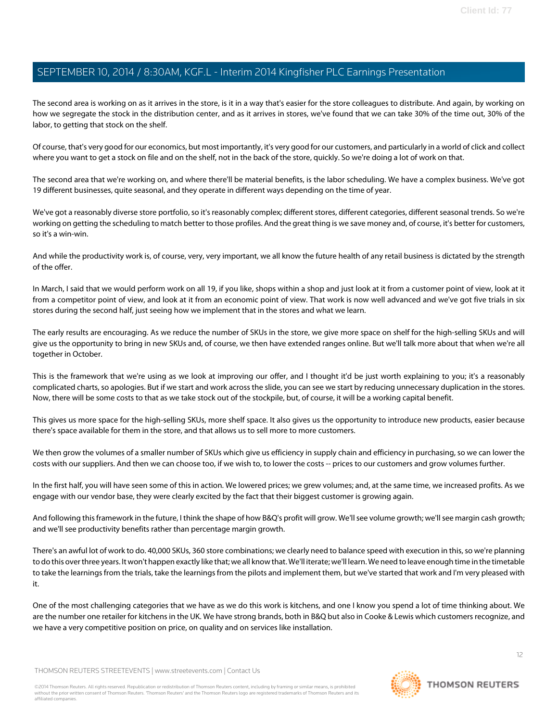The second area is working on as it arrives in the store, is it in a way that's easier for the store colleagues to distribute. And again, by working on how we segregate the stock in the distribution center, and as it arrives in stores, we've found that we can take 30% of the time out, 30% of the labor, to getting that stock on the shelf.

Of course, that's very good for our economics, but most importantly, it's very good for our customers, and particularly in a world of click and collect where you want to get a stock on file and on the shelf, not in the back of the store, quickly. So we're doing a lot of work on that.

The second area that we're working on, and where there'll be material benefits, is the labor scheduling. We have a complex business. We've got 19 different businesses, quite seasonal, and they operate in different ways depending on the time of year.

We've got a reasonably diverse store portfolio, so it's reasonably complex; different stores, different categories, different seasonal trends. So we're working on getting the scheduling to match better to those profiles. And the great thing is we save money and, of course, it's better for customers, so it's a win-win.

And while the productivity work is, of course, very, very important, we all know the future health of any retail business is dictated by the strength of the offer.

In March, I said that we would perform work on all 19, if you like, shops within a shop and just look at it from a customer point of view, look at it from a competitor point of view, and look at it from an economic point of view. That work is now well advanced and we've got five trials in six stores during the second half, just seeing how we implement that in the stores and what we learn.

The early results are encouraging. As we reduce the number of SKUs in the store, we give more space on shelf for the high-selling SKUs and will give us the opportunity to bring in new SKUs and, of course, we then have extended ranges online. But we'll talk more about that when we're all together in October.

This is the framework that we're using as we look at improving our offer, and I thought it'd be just worth explaining to you; it's a reasonably complicated charts, so apologies. But if we start and work across the slide, you can see we start by reducing unnecessary duplication in the stores. Now, there will be some costs to that as we take stock out of the stockpile, but, of course, it will be a working capital benefit.

This gives us more space for the high-selling SKUs, more shelf space. It also gives us the opportunity to introduce new products, easier because there's space available for them in the store, and that allows us to sell more to more customers.

We then grow the volumes of a smaller number of SKUs which give us efficiency in supply chain and efficiency in purchasing, so we can lower the costs with our suppliers. And then we can choose too, if we wish to, to lower the costs -- prices to our customers and grow volumes further.

In the first half, you will have seen some of this in action. We lowered prices; we grew volumes; and, at the same time, we increased profits. As we engage with our vendor base, they were clearly excited by the fact that their biggest customer is growing again.

And following this framework in the future, I think the shape of how B&Q's profit will grow. We'll see volume growth; we'll see margin cash growth; and we'll see productivity benefits rather than percentage margin growth.

There's an awful lot of work to do. 40,000 SKUs, 360 store combinations; we clearly need to balance speed with execution in this, so we're planning to do this over three years. It won't happen exactly like that; we all know that. We'll iterate; we'll learn. We need to leave enough time in the timetable to take the learnings from the trials, take the learnings from the pilots and implement them, but we've started that work and I'm very pleased with it.

One of the most challenging categories that we have as we do this work is kitchens, and one I know you spend a lot of time thinking about. We are the number one retailer for kitchens in the UK. We have strong brands, both in B&Q but also in Cooke & Lewis which customers recognize, and we have a very competitive position on price, on quality and on services like installation.

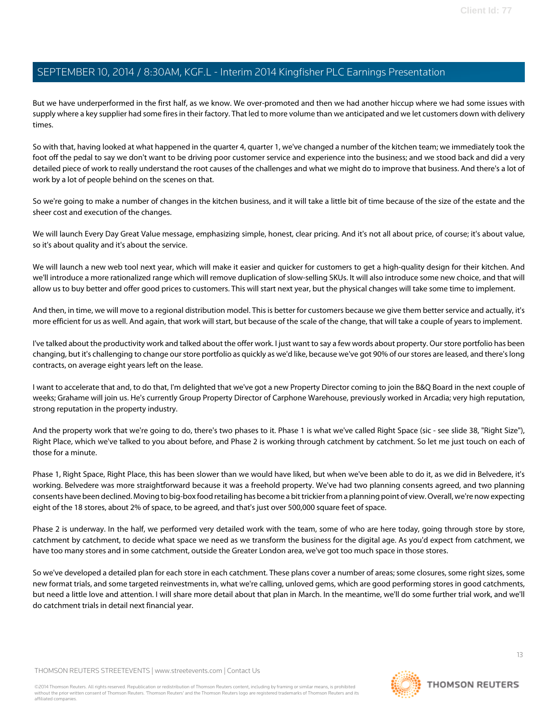But we have underperformed in the first half, as we know. We over-promoted and then we had another hiccup where we had some issues with supply where a key supplier had some fires in their factory. That led to more volume than we anticipated and we let customers down with delivery times.

So with that, having looked at what happened in the quarter 4, quarter 1, we've changed a number of the kitchen team; we immediately took the foot off the pedal to say we don't want to be driving poor customer service and experience into the business; and we stood back and did a very detailed piece of work to really understand the root causes of the challenges and what we might do to improve that business. And there's a lot of work by a lot of people behind on the scenes on that.

So we're going to make a number of changes in the kitchen business, and it will take a little bit of time because of the size of the estate and the sheer cost and execution of the changes.

We will launch Every Day Great Value message, emphasizing simple, honest, clear pricing. And it's not all about price, of course; it's about value, so it's about quality and it's about the service.

We will launch a new web tool next year, which will make it easier and quicker for customers to get a high-quality design for their kitchen. And we'll introduce a more rationalized range which will remove duplication of slow-selling SKUs. It will also introduce some new choice, and that will allow us to buy better and offer good prices to customers. This will start next year, but the physical changes will take some time to implement.

And then, in time, we will move to a regional distribution model. This is better for customers because we give them better service and actually, it's more efficient for us as well. And again, that work will start, but because of the scale of the change, that will take a couple of years to implement.

I've talked about the productivity work and talked about the offer work. I just want to say a few words about property. Our store portfolio has been changing, but it's challenging to change our store portfolio as quickly as we'd like, because we've got 90% of our stores are leased, and there's long contracts, on average eight years left on the lease.

I want to accelerate that and, to do that, I'm delighted that we've got a new Property Director coming to join the B&Q Board in the next couple of weeks; Grahame will join us. He's currently Group Property Director of Carphone Warehouse, previously worked in Arcadia; very high reputation, strong reputation in the property industry.

And the property work that we're going to do, there's two phases to it. Phase 1 is what we've called Right Space (sic - see slide 38, "Right Size"), Right Place, which we've talked to you about before, and Phase 2 is working through catchment by catchment. So let me just touch on each of those for a minute.

Phase 1, Right Space, Right Place, this has been slower than we would have liked, but when we've been able to do it, as we did in Belvedere, it's working. Belvedere was more straightforward because it was a freehold property. We've had two planning consents agreed, and two planning consents have been declined. Moving to big-box food retailing has become a bit trickier from a planning point of view. Overall, we're now expecting eight of the 18 stores, about 2% of space, to be agreed, and that's just over 500,000 square feet of space.

Phase 2 is underway. In the half, we performed very detailed work with the team, some of who are here today, going through store by store, catchment by catchment, to decide what space we need as we transform the business for the digital age. As you'd expect from catchment, we have too many stores and in some catchment, outside the Greater London area, we've got too much space in those stores.

So we've developed a detailed plan for each store in each catchment. These plans cover a number of areas; some closures, some right sizes, some new format trials, and some targeted reinvestments in, what we're calling, unloved gems, which are good performing stores in good catchments, but need a little love and attention. I will share more detail about that plan in March. In the meantime, we'll do some further trial work, and we'll do catchment trials in detail next financial year.

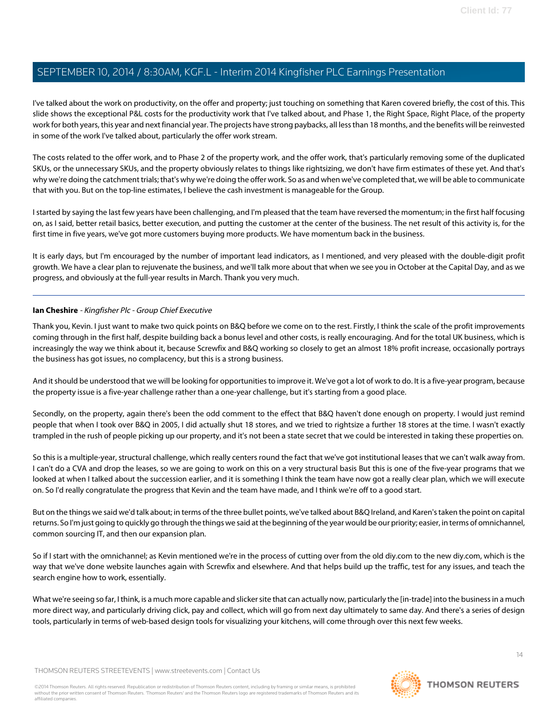I've talked about the work on productivity, on the offer and property; just touching on something that Karen covered briefly, the cost of this. This slide shows the exceptional P&L costs for the productivity work that I've talked about, and Phase 1, the Right Space, Right Place, of the property work for both years, this year and next financial year. The projects have strong paybacks, all less than 18 months, and the benefits will be reinvested in some of the work I've talked about, particularly the offer work stream.

The costs related to the offer work, and to Phase 2 of the property work, and the offer work, that's particularly removing some of the duplicated SKUs, or the unnecessary SKUs, and the property obviously relates to things like rightsizing, we don't have firm estimates of these yet. And that's why we're doing the catchment trials; that's why we're doing the offer work. So as and when we've completed that, we will be able to communicate that with you. But on the top-line estimates, I believe the cash investment is manageable for the Group.

I started by saying the last few years have been challenging, and I'm pleased that the team have reversed the momentum; in the first half focusing on, as I said, better retail basics, better execution, and putting the customer at the center of the business. The net result of this activity is, for the first time in five years, we've got more customers buying more products. We have momentum back in the business.

It is early days, but I'm encouraged by the number of important lead indicators, as I mentioned, and very pleased with the double-digit profit growth. We have a clear plan to rejuvenate the business, and we'll talk more about that when we see you in October at the Capital Day, and as we progress, and obviously at the full-year results in March. Thank you very much.

#### **Ian Cheshire** - Kingfisher Plc - Group Chief Executive

Thank you, Kevin. I just want to make two quick points on B&Q before we come on to the rest. Firstly, I think the scale of the profit improvements coming through in the first half, despite building back a bonus level and other costs, is really encouraging. And for the total UK business, which is increasingly the way we think about it, because Screwfix and B&Q working so closely to get an almost 18% profit increase, occasionally portrays the business has got issues, no complacency, but this is a strong business.

And it should be understood that we will be looking for opportunities to improve it. We've got a lot of work to do. It is a five-year program, because the property issue is a five-year challenge rather than a one-year challenge, but it's starting from a good place.

Secondly, on the property, again there's been the odd comment to the effect that B&Q haven't done enough on property. I would just remind people that when I took over B&Q in 2005, I did actually shut 18 stores, and we tried to rightsize a further 18 stores at the time. I wasn't exactly trampled in the rush of people picking up our property, and it's not been a state secret that we could be interested in taking these properties on.

So this is a multiple-year, structural challenge, which really centers round the fact that we've got institutional leases that we can't walk away from. I can't do a CVA and drop the leases, so we are going to work on this on a very structural basis But this is one of the five-year programs that we looked at when I talked about the succession earlier, and it is something I think the team have now got a really clear plan, which we will execute on. So I'd really congratulate the progress that Kevin and the team have made, and I think we're off to a good start.

But on the things we said we'd talk about; in terms of the three bullet points, we've talked about B&Q Ireland, and Karen's taken the point on capital returns. So I'm just going to quickly go through the things we said at the beginning of the year would be our priority; easier, in terms of omnichannel, common sourcing IT, and then our expansion plan.

So if I start with the omnichannel; as Kevin mentioned we're in the process of cutting over from the old diy.com to the new diy.com, which is the way that we've done website launches again with Screwfix and elsewhere. And that helps build up the traffic, test for any issues, and teach the search engine how to work, essentially.

What we're seeing so far, I think, is a much more capable and slicker site that can actually now, particularly the [in-trade] into the business in a much more direct way, and particularly driving click, pay and collect, which will go from next day ultimately to same day. And there's a series of design tools, particularly in terms of web-based design tools for visualizing your kitchens, will come through over this next few weeks.

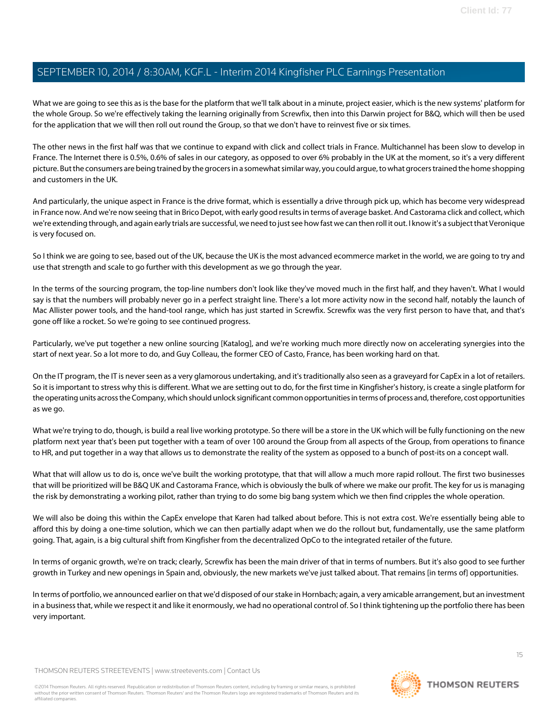What we are going to see this as is the base for the platform that we'll talk about in a minute, project easier, which is the new systems' platform for the whole Group. So we're effectively taking the learning originally from Screwfix, then into this Darwin project for B&Q, which will then be used for the application that we will then roll out round the Group, so that we don't have to reinvest five or six times.

The other news in the first half was that we continue to expand with click and collect trials in France. Multichannel has been slow to develop in France. The Internet there is 0.5%, 0.6% of sales in our category, as opposed to over 6% probably in the UK at the moment, so it's a very different picture. But the consumers are being trained by the grocers in a somewhat similar way, you could argue, to what grocers trained the home shopping and customers in the UK.

And particularly, the unique aspect in France is the drive format, which is essentially a drive through pick up, which has become very widespread in France now. And we're now seeing that in Brico Depot, with early good results in terms of average basket. And Castorama click and collect, which we're extending through, and again early trials are successful, we need to just see how fast we can then roll it out. I know it's a subject that Veronique is very focused on.

So I think we are going to see, based out of the UK, because the UK is the most advanced ecommerce market in the world, we are going to try and use that strength and scale to go further with this development as we go through the year.

In the terms of the sourcing program, the top-line numbers don't look like they've moved much in the first half, and they haven't. What I would say is that the numbers will probably never go in a perfect straight line. There's a lot more activity now in the second half, notably the launch of Mac Allister power tools, and the hand-tool range, which has just started in Screwfix. Screwfix was the very first person to have that, and that's gone off like a rocket. So we're going to see continued progress.

Particularly, we've put together a new online sourcing [Katalog], and we're working much more directly now on accelerating synergies into the start of next year. So a lot more to do, and Guy Colleau, the former CEO of Casto, France, has been working hard on that.

On the IT program, the IT is never seen as a very glamorous undertaking, and it's traditionally also seen as a graveyard for CapEx in a lot of retailers. So it is important to stress why this is different. What we are setting out to do, for the first time in Kingfisher's history, is create a single platform for the operating units across the Company, which should unlock significant common opportunities in terms of process and, therefore, cost opportunities as we go.

What we're trying to do, though, is build a real live working prototype. So there will be a store in the UK which will be fully functioning on the new platform next year that's been put together with a team of over 100 around the Group from all aspects of the Group, from operations to finance to HR, and put together in a way that allows us to demonstrate the reality of the system as opposed to a bunch of post-its on a concept wall.

What that will allow us to do is, once we've built the working prototype, that that will allow a much more rapid rollout. The first two businesses that will be prioritized will be B&Q UK and Castorama France, which is obviously the bulk of where we make our profit. The key for us is managing the risk by demonstrating a working pilot, rather than trying to do some big bang system which we then find cripples the whole operation.

We will also be doing this within the CapEx envelope that Karen had talked about before. This is not extra cost. We're essentially being able to afford this by doing a one-time solution, which we can then partially adapt when we do the rollout but, fundamentally, use the same platform going. That, again, is a big cultural shift from Kingfisher from the decentralized OpCo to the integrated retailer of the future.

In terms of organic growth, we're on track; clearly, Screwfix has been the main driver of that in terms of numbers. But it's also good to see further growth in Turkey and new openings in Spain and, obviously, the new markets we've just talked about. That remains [in terms of] opportunities.

In terms of portfolio, we announced earlier on that we'd disposed of our stake in Hornbach; again, a very amicable arrangement, but an investment in a business that, while we respect it and like it enormously, we had no operational control of. So I think tightening up the portfolio there has been very important.

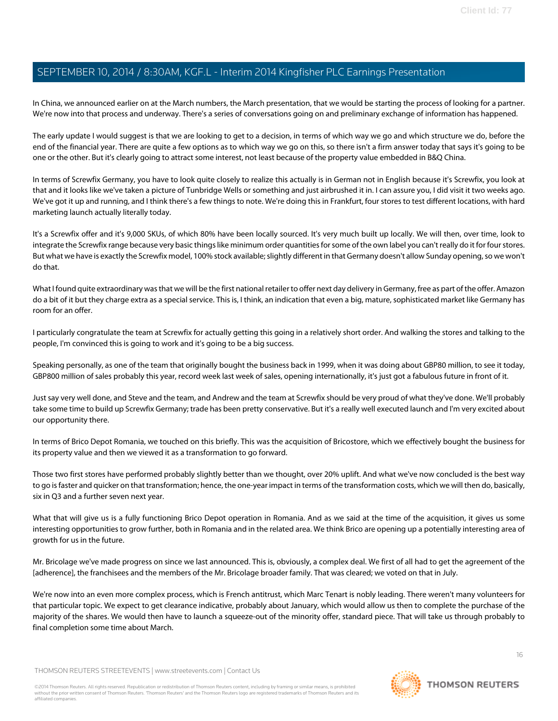In China, we announced earlier on at the March numbers, the March presentation, that we would be starting the process of looking for a partner. We're now into that process and underway. There's a series of conversations going on and preliminary exchange of information has happened.

The early update I would suggest is that we are looking to get to a decision, in terms of which way we go and which structure we do, before the end of the financial year. There are quite a few options as to which way we go on this, so there isn't a firm answer today that says it's going to be one or the other. But it's clearly going to attract some interest, not least because of the property value embedded in B&Q China.

In terms of Screwfix Germany, you have to look quite closely to realize this actually is in German not in English because it's Screwfix, you look at that and it looks like we've taken a picture of Tunbridge Wells or something and just airbrushed it in. I can assure you, I did visit it two weeks ago. We've got it up and running, and I think there's a few things to note. We're doing this in Frankfurt, four stores to test different locations, with hard marketing launch actually literally today.

It's a Screwfix offer and it's 9,000 SKUs, of which 80% have been locally sourced. It's very much built up locally. We will then, over time, look to integrate the Screwfix range because very basic things like minimum order quantities for some of the own label you can't really do it for four stores. But what we have is exactly the Screwfix model, 100% stock available; slightly different in that Germany doesn't allow Sunday opening, so we won't do that.

What I found quite extraordinary was that we will be the first national retailer to offer next day delivery in Germany, free as part of the offer. Amazon do a bit of it but they charge extra as a special service. This is, I think, an indication that even a big, mature, sophisticated market like Germany has room for an offer.

I particularly congratulate the team at Screwfix for actually getting this going in a relatively short order. And walking the stores and talking to the people, I'm convinced this is going to work and it's going to be a big success.

Speaking personally, as one of the team that originally bought the business back in 1999, when it was doing about GBP80 million, to see it today, GBP800 million of sales probably this year, record week last week of sales, opening internationally, it's just got a fabulous future in front of it.

Just say very well done, and Steve and the team, and Andrew and the team at Screwfix should be very proud of what they've done. We'll probably take some time to build up Screwfix Germany; trade has been pretty conservative. But it's a really well executed launch and I'm very excited about our opportunity there.

In terms of Brico Depot Romania, we touched on this briefly. This was the acquisition of Bricostore, which we effectively bought the business for its property value and then we viewed it as a transformation to go forward.

Those two first stores have performed probably slightly better than we thought, over 20% uplift. And what we've now concluded is the best way to go is faster and quicker on that transformation; hence, the one-year impact in terms of the transformation costs, which we will then do, basically, six in Q3 and a further seven next year.

What that will give us is a fully functioning Brico Depot operation in Romania. And as we said at the time of the acquisition, it gives us some interesting opportunities to grow further, both in Romania and in the related area. We think Brico are opening up a potentially interesting area of growth for us in the future.

Mr. Bricolage we've made progress on since we last announced. This is, obviously, a complex deal. We first of all had to get the agreement of the [adherence], the franchisees and the members of the Mr. Bricolage broader family. That was cleared; we voted on that in July.

We're now into an even more complex process, which is French antitrust, which Marc Tenart is nobly leading. There weren't many volunteers for that particular topic. We expect to get clearance indicative, probably about January, which would allow us then to complete the purchase of the majority of the shares. We would then have to launch a squeeze-out of the minority offer, standard piece. That will take us through probably to final completion some time about March.

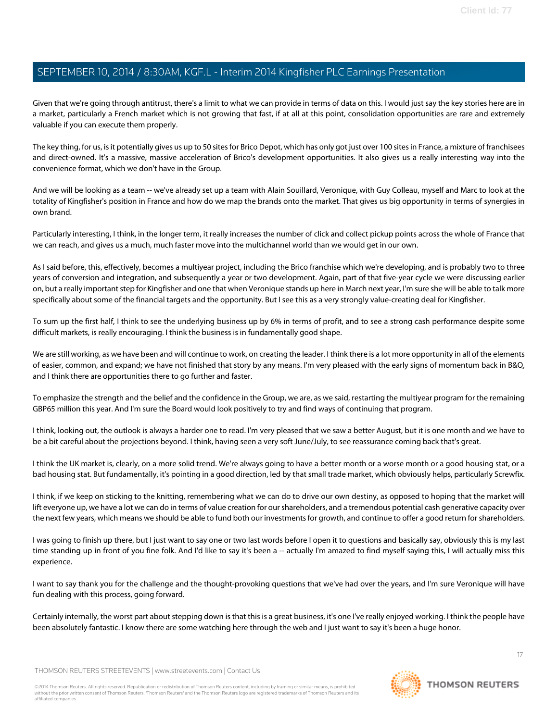Given that we're going through antitrust, there's a limit to what we can provide in terms of data on this. I would just say the key stories here are in a market, particularly a French market which is not growing that fast, if at all at this point, consolidation opportunities are rare and extremely valuable if you can execute them properly.

The key thing, for us, is it potentially gives us up to 50 sites for Brico Depot, which has only got just over 100 sites in France, a mixture of franchisees and direct-owned. It's a massive, massive acceleration of Brico's development opportunities. It also gives us a really interesting way into the convenience format, which we don't have in the Group.

And we will be looking as a team -- we've already set up a team with Alain Souillard, Veronique, with Guy Colleau, myself and Marc to look at the totality of Kingfisher's position in France and how do we map the brands onto the market. That gives us big opportunity in terms of synergies in own brand.

Particularly interesting, I think, in the longer term, it really increases the number of click and collect pickup points across the whole of France that we can reach, and gives us a much, much faster move into the multichannel world than we would get in our own.

As I said before, this, effectively, becomes a multiyear project, including the Brico franchise which we're developing, and is probably two to three years of conversion and integration, and subsequently a year or two development. Again, part of that five-year cycle we were discussing earlier on, but a really important step for Kingfisher and one that when Veronique stands up here in March next year, I'm sure she will be able to talk more specifically about some of the financial targets and the opportunity. But I see this as a very strongly value-creating deal for Kingfisher.

To sum up the first half, I think to see the underlying business up by 6% in terms of profit, and to see a strong cash performance despite some difficult markets, is really encouraging. I think the business is in fundamentally good shape.

We are still working, as we have been and will continue to work, on creating the leader. I think there is a lot more opportunity in all of the elements of easier, common, and expand; we have not finished that story by any means. I'm very pleased with the early signs of momentum back in B&Q, and I think there are opportunities there to go further and faster.

To emphasize the strength and the belief and the confidence in the Group, we are, as we said, restarting the multiyear program for the remaining GBP65 million this year. And I'm sure the Board would look positively to try and find ways of continuing that program.

I think, looking out, the outlook is always a harder one to read. I'm very pleased that we saw a better August, but it is one month and we have to be a bit careful about the projections beyond. I think, having seen a very soft June/July, to see reassurance coming back that's great.

I think the UK market is, clearly, on a more solid trend. We're always going to have a better month or a worse month or a good housing stat, or a bad housing stat. But fundamentally, it's pointing in a good direction, led by that small trade market, which obviously helps, particularly Screwfix.

I think, if we keep on sticking to the knitting, remembering what we can do to drive our own destiny, as opposed to hoping that the market will lift everyone up, we have a lot we can do in terms of value creation for our shareholders, and a tremendous potential cash generative capacity over the next few years, which means we should be able to fund both our investments for growth, and continue to offer a good return for shareholders.

I was going to finish up there, but I just want to say one or two last words before I open it to questions and basically say, obviously this is my last time standing up in front of you fine folk. And I'd like to say it's been a -- actually I'm amazed to find myself saying this, I will actually miss this experience.

I want to say thank you for the challenge and the thought-provoking questions that we've had over the years, and I'm sure Veronique will have fun dealing with this process, going forward.

Certainly internally, the worst part about stepping down is that this is a great business, it's one I've really enjoyed working. I think the people have been absolutely fantastic. I know there are some watching here through the web and I just want to say it's been a huge honor.

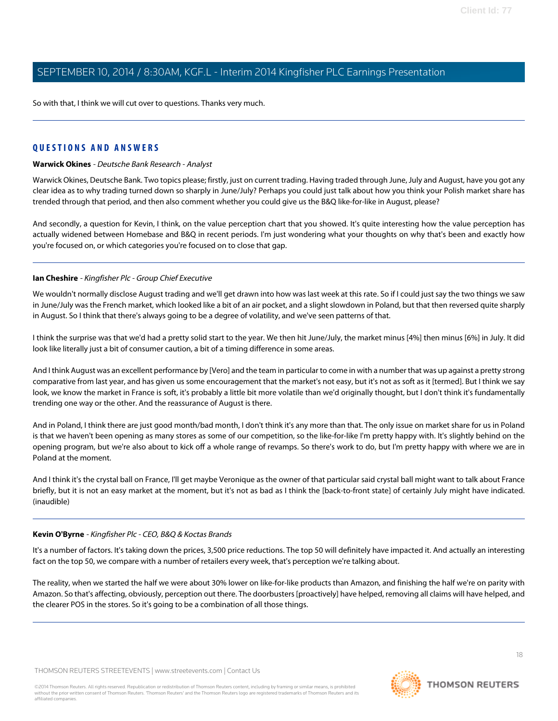So with that, I think we will cut over to questions. Thanks very much.

#### <span id="page-17-0"></span>**QUESTIONS AND ANSWERS**

#### **Warwick Okines** - Deutsche Bank Research - Analyst

Warwick Okines, Deutsche Bank. Two topics please; firstly, just on current trading. Having traded through June, July and August, have you got any clear idea as to why trading turned down so sharply in June/July? Perhaps you could just talk about how you think your Polish market share has trended through that period, and then also comment whether you could give us the B&Q like-for-like in August, please?

And secondly, a question for Kevin, I think, on the value perception chart that you showed. It's quite interesting how the value perception has actually widened between Homebase and B&Q in recent periods. I'm just wondering what your thoughts on why that's been and exactly how you're focused on, or which categories you're focused on to close that gap.

#### **Ian Cheshire** - Kingfisher Plc - Group Chief Executive

We wouldn't normally disclose August trading and we'll get drawn into how was last week at this rate. So if I could just say the two things we saw in June/July was the French market, which looked like a bit of an air pocket, and a slight slowdown in Poland, but that then reversed quite sharply in August. So I think that there's always going to be a degree of volatility, and we've seen patterns of that.

I think the surprise was that we'd had a pretty solid start to the year. We then hit June/July, the market minus [4%] then minus [6%] in July. It did look like literally just a bit of consumer caution, a bit of a timing difference in some areas.

And I think August was an excellent performance by [Vero] and the team in particular to come in with a number that was up against a pretty strong comparative from last year, and has given us some encouragement that the market's not easy, but it's not as soft as it [termed]. But I think we say look, we know the market in France is soft, it's probably a little bit more volatile than we'd originally thought, but I don't think it's fundamentally trending one way or the other. And the reassurance of August is there.

And in Poland, I think there are just good month/bad month, I don't think it's any more than that. The only issue on market share for us in Poland is that we haven't been opening as many stores as some of our competition, so the like-for-like I'm pretty happy with. It's slightly behind on the opening program, but we're also about to kick off a whole range of revamps. So there's work to do, but I'm pretty happy with where we are in Poland at the moment.

And I think it's the crystal ball on France, I'll get maybe Veronique as the owner of that particular said crystal ball might want to talk about France briefly, but it is not an easy market at the moment, but it's not as bad as I think the [back-to-front state] of certainly July might have indicated. (inaudible)

#### **Kevin O'Byrne** - Kingfisher Plc - CEO, B&Q & Koctas Brands

It's a number of factors. It's taking down the prices, 3,500 price reductions. The top 50 will definitely have impacted it. And actually an interesting fact on the top 50, we compare with a number of retailers every week, that's perception we're talking about.

The reality, when we started the half we were about 30% lower on like-for-like products than Amazon, and finishing the half we're on parity with Amazon. So that's affecting, obviously, perception out there. The doorbusters [proactively] have helped, removing all claims will have helped, and the clearer POS in the stores. So it's going to be a combination of all those things.

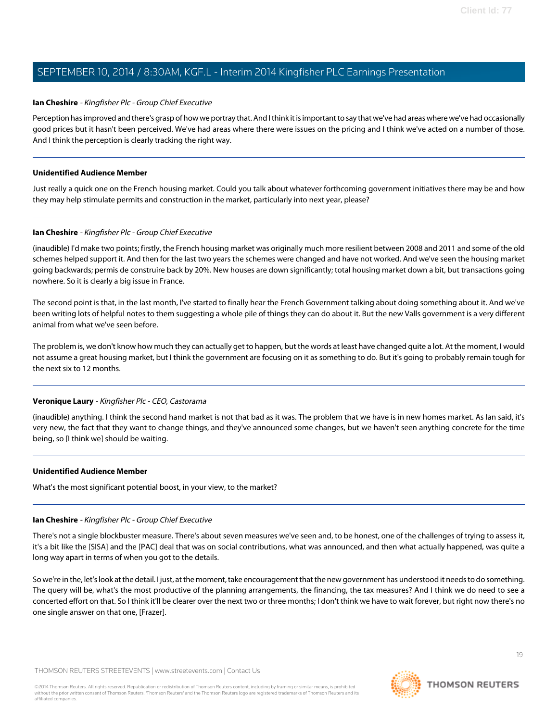#### **Ian Cheshire** - Kingfisher Plc - Group Chief Executive

Perception has improved and there's grasp of how we portray that. And I think it is important to say that we've had areas where we've had occasionally good prices but it hasn't been perceived. We've had areas where there were issues on the pricing and I think we've acted on a number of those. And I think the perception is clearly tracking the right way.

#### **Unidentified Audience Member**

Just really a quick one on the French housing market. Could you talk about whatever forthcoming government initiatives there may be and how they may help stimulate permits and construction in the market, particularly into next year, please?

#### **Ian Cheshire** - Kingfisher Plc - Group Chief Executive

(inaudible) I'd make two points; firstly, the French housing market was originally much more resilient between 2008 and 2011 and some of the old schemes helped support it. And then for the last two years the schemes were changed and have not worked. And we've seen the housing market going backwards; permis de construire back by 20%. New houses are down significantly; total housing market down a bit, but transactions going nowhere. So it is clearly a big issue in France.

The second point is that, in the last month, I've started to finally hear the French Government talking about doing something about it. And we've been writing lots of helpful notes to them suggesting a whole pile of things they can do about it. But the new Valls government is a very different animal from what we've seen before.

The problem is, we don't know how much they can actually get to happen, but the words at least have changed quite a lot. At the moment, I would not assume a great housing market, but I think the government are focusing on it as something to do. But it's going to probably remain tough for the next six to 12 months.

#### **Veronique Laury** - Kingfisher Plc - CEO, Castorama

(inaudible) anything. I think the second hand market is not that bad as it was. The problem that we have is in new homes market. As Ian said, it's very new, the fact that they want to change things, and they've announced some changes, but we haven't seen anything concrete for the time being, so [I think we] should be waiting.

#### **Unidentified Audience Member**

What's the most significant potential boost, in your view, to the market?

#### **Ian Cheshire** - Kingfisher Plc - Group Chief Executive

There's not a single blockbuster measure. There's about seven measures we've seen and, to be honest, one of the challenges of trying to assess it, it's a bit like the [SISA] and the [PAC] deal that was on social contributions, what was announced, and then what actually happened, was quite a long way apart in terms of when you got to the details.

So we're in the, let's look at the detail. I just, at the moment, take encouragement that the new government has understood it needs to do something. The query will be, what's the most productive of the planning arrangements, the financing, the tax measures? And I think we do need to see a concerted effort on that. So I think it'll be clearer over the next two or three months; I don't think we have to wait forever, but right now there's no one single answer on that one, [Frazer].

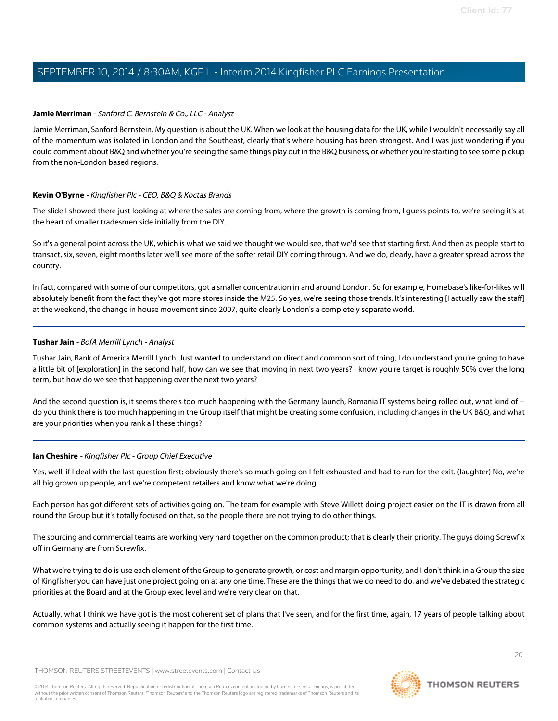#### <span id="page-19-0"></span>**Jamie Merriman** - Sanford C. Bernstein & Co., LLC - Analyst

Jamie Merriman, Sanford Bernstein. My question is about the UK. When we look at the housing data for the UK, while I wouldn't necessarily say all of the momentum was isolated in London and the Southeast, clearly that's where housing has been strongest. And I was just wondering if you could comment about B&Q and whether you're seeing the same things play out in the B&Q business, or whether you're starting to see some pickup from the non-London based regions.

#### **Kevin O'Byrne** - Kingfisher Plc - CEO, B&Q & Koctas Brands

The slide I showed there just looking at where the sales are coming from, where the growth is coming from, I guess points to, we're seeing it's at the heart of smaller tradesmen side initially from the DIY.

So it's a general point across the UK, which is what we said we thought we would see, that we'd see that starting first. And then as people start to transact, six, seven, eight months later we'll see more of the softer retail DIY coming through. And we do, clearly, have a greater spread across the country.

<span id="page-19-1"></span>In fact, compared with some of our competitors, got a smaller concentration in and around London. So for example, Homebase's like-for-likes will absolutely benefit from the fact they've got more stores inside the M25. So yes, we're seeing those trends. It's interesting [I actually saw the staff] at the weekend, the change in house movement since 2007, quite clearly London's a completely separate world.

#### **Tushar Jain** - BofA Merrill Lynch - Analyst

Tushar Jain, Bank of America Merrill Lynch. Just wanted to understand on direct and common sort of thing, I do understand you're going to have a little bit of [exploration] in the second half, how can we see that moving in next two years? I know you're target is roughly 50% over the long term, but how do we see that happening over the next two years?

And the second question is, it seems there's too much happening with the Germany launch, Romania IT systems being rolled out, what kind of -do you think there is too much happening in the Group itself that might be creating some confusion, including changes in the UK B&Q, and what are your priorities when you rank all these things?

#### **Ian Cheshire** - Kingfisher Plc - Group Chief Executive

Yes, well, if I deal with the last question first; obviously there's so much going on I felt exhausted and had to run for the exit. (laughter) No, we're all big grown up people, and we're competent retailers and know what we're doing.

Each person has got different sets of activities going on. The team for example with Steve Willett doing project easier on the IT is drawn from all round the Group but it's totally focused on that, so the people there are not trying to do other things.

The sourcing and commercial teams are working very hard together on the common product; that is clearly their priority. The guys doing Screwfix off in Germany are from Screwfix.

What we're trying to do is use each element of the Group to generate growth, or cost and margin opportunity, and I don't think in a Group the size of Kingfisher you can have just one project going on at any one time. These are the things that we do need to do, and we've debated the strategic priorities at the Board and at the Group exec level and we're very clear on that.

Actually, what I think we have got is the most coherent set of plans that I've seen, and for the first time, again, 17 years of people talking about common systems and actually seeing it happen for the first time.

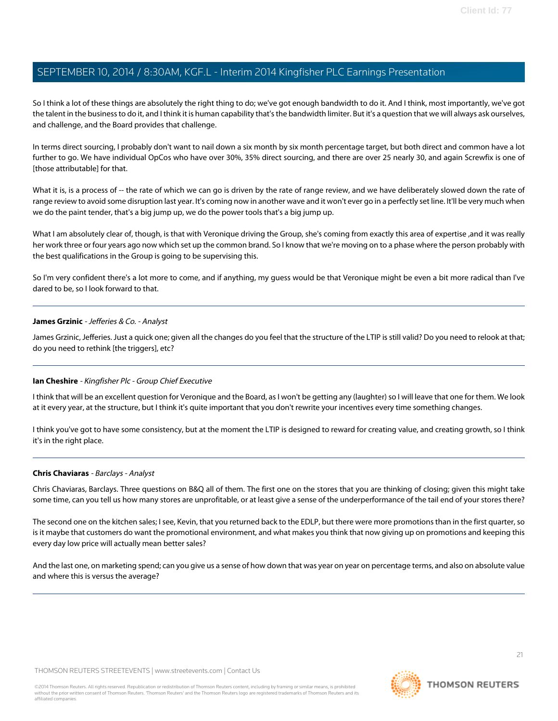So I think a lot of these things are absolutely the right thing to do; we've got enough bandwidth to do it. And I think, most importantly, we've got the talent in the business to do it, and I think it is human capability that's the bandwidth limiter. But it's a question that we will always ask ourselves, and challenge, and the Board provides that challenge.

In terms direct sourcing, I probably don't want to nail down a six month by six month percentage target, but both direct and common have a lot further to go. We have individual OpCos who have over 30%, 35% direct sourcing, and there are over 25 nearly 30, and again Screwfix is one of [those attributable] for that.

What it is, is a process of -- the rate of which we can go is driven by the rate of range review, and we have deliberately slowed down the rate of range review to avoid some disruption last year. It's coming now in another wave and it won't ever go in a perfectly set line. It'll be very much when we do the paint tender, that's a big jump up, we do the power tools that's a big jump up.

What I am absolutely clear of, though, is that with Veronique driving the Group, she's coming from exactly this area of expertise ,and it was really her work three or four years ago now which set up the common brand. So I know that we're moving on to a phase where the person probably with the best qualifications in the Group is going to be supervising this.

<span id="page-20-0"></span>So I'm very confident there's a lot more to come, and if anything, my guess would be that Veronique might be even a bit more radical than I've dared to be, so I look forward to that.

#### **James Grzinic** - Jefferies & Co. - Analyst

James Grzinic, Jefferies. Just a quick one; given all the changes do you feel that the structure of the LTIP is still valid? Do you need to relook at that; do you need to rethink [the triggers], etc?

#### **Ian Cheshire** - Kingfisher Plc - Group Chief Executive

I think that will be an excellent question for Veronique and the Board, as I won't be getting any (laughter) so I will leave that one for them. We look at it every year, at the structure, but I think it's quite important that you don't rewrite your incentives every time something changes.

<span id="page-20-1"></span>I think you've got to have some consistency, but at the moment the LTIP is designed to reward for creating value, and creating growth, so I think it's in the right place.

#### **Chris Chaviaras** - Barclays - Analyst

Chris Chaviaras, Barclays. Three questions on B&Q all of them. The first one on the stores that you are thinking of closing; given this might take some time, can you tell us how many stores are unprofitable, or at least give a sense of the underperformance of the tail end of your stores there?

The second one on the kitchen sales; I see, Kevin, that you returned back to the EDLP, but there were more promotions than in the first quarter, so is it maybe that customers do want the promotional environment, and what makes you think that now giving up on promotions and keeping this every day low price will actually mean better sales?

And the last one, on marketing spend; can you give us a sense of how down that was year on year on percentage terms, and also on absolute value and where this is versus the average?

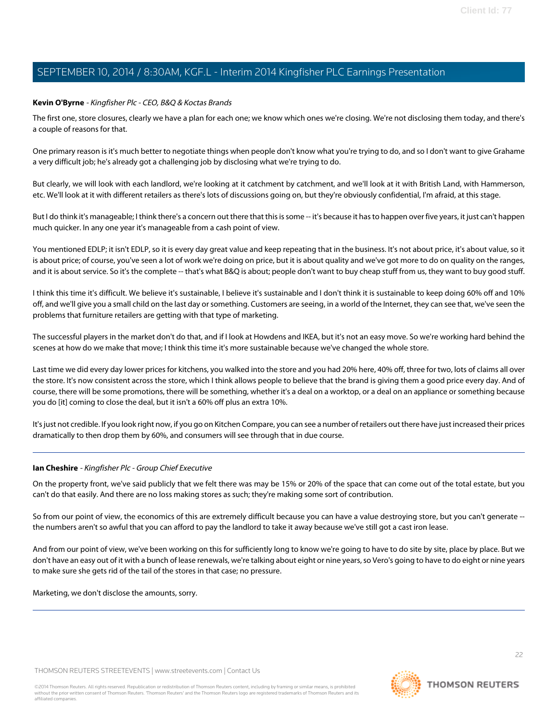#### **Kevin O'Byrne** - Kingfisher Plc - CEO, B&Q & Koctas Brands

The first one, store closures, clearly we have a plan for each one; we know which ones we're closing. We're not disclosing them today, and there's a couple of reasons for that.

One primary reason is it's much better to negotiate things when people don't know what you're trying to do, and so I don't want to give Grahame a very difficult job; he's already got a challenging job by disclosing what we're trying to do.

But clearly, we will look with each landlord, we're looking at it catchment by catchment, and we'll look at it with British Land, with Hammerson, etc. We'll look at it with different retailers as there's lots of discussions going on, but they're obviously confidential, I'm afraid, at this stage.

But I do think it's manageable; I think there's a concern out there that this is some -- it's because it has to happen over five years, it just can't happen much quicker. In any one year it's manageable from a cash point of view.

You mentioned EDLP; it isn't EDLP, so it is every day great value and keep repeating that in the business. It's not about price, it's about value, so it is about price; of course, you've seen a lot of work we're doing on price, but it is about quality and we've got more to do on quality on the ranges, and it is about service. So it's the complete -- that's what B&Q is about; people don't want to buy cheap stuff from us, they want to buy good stuff.

I think this time it's difficult. We believe it's sustainable, I believe it's sustainable and I don't think it is sustainable to keep doing 60% off and 10% off, and we'll give you a small child on the last day or something. Customers are seeing, in a world of the Internet, they can see that, we've seen the problems that furniture retailers are getting with that type of marketing.

The successful players in the market don't do that, and if I look at Howdens and IKEA, but it's not an easy move. So we're working hard behind the scenes at how do we make that move; I think this time it's more sustainable because we've changed the whole store.

Last time we did every day lower prices for kitchens, you walked into the store and you had 20% here, 40% off, three for two, lots of claims all over the store. It's now consistent across the store, which I think allows people to believe that the brand is giving them a good price every day. And of course, there will be some promotions, there will be something, whether it's a deal on a worktop, or a deal on an appliance or something because you do [it] coming to close the deal, but it isn't a 60% off plus an extra 10%.

It's just not credible. If you look right now, if you go on Kitchen Compare, you can see a number of retailers out there have just increased their prices dramatically to then drop them by 60%, and consumers will see through that in due course.

#### **Ian Cheshire** - Kingfisher Plc - Group Chief Executive

On the property front, we've said publicly that we felt there was may be 15% or 20% of the space that can come out of the total estate, but you can't do that easily. And there are no loss making stores as such; they're making some sort of contribution.

So from our point of view, the economics of this are extremely difficult because you can have a value destroying store, but you can't generate - the numbers aren't so awful that you can afford to pay the landlord to take it away because we've still got a cast iron lease.

And from our point of view, we've been working on this for sufficiently long to know we're going to have to do site by site, place by place. But we don't have an easy out of it with a bunch of lease renewals, we're talking about eight or nine years, so Vero's going to have to do eight or nine years to make sure she gets rid of the tail of the stores in that case; no pressure.

Marketing, we don't disclose the amounts, sorry.

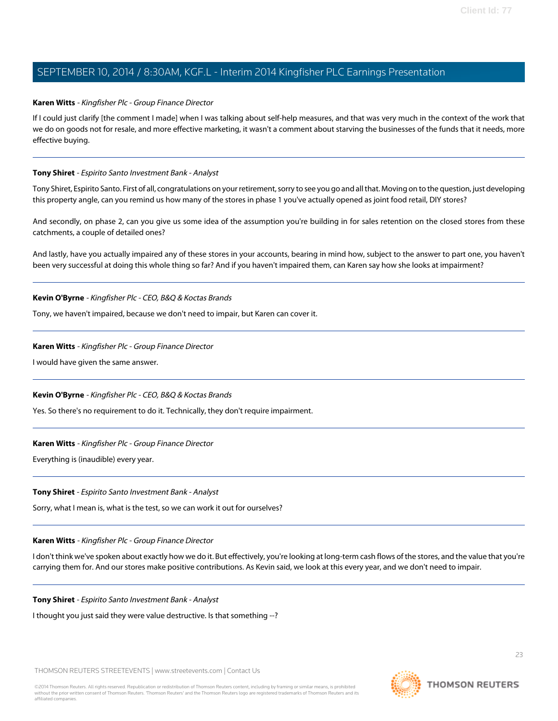#### **Karen Witts** - Kingfisher Plc - Group Finance Director

If I could just clarify [the comment I made] when I was talking about self-help measures, and that was very much in the context of the work that we do on goods not for resale, and more effective marketing, it wasn't a comment about starving the businesses of the funds that it needs, more effective buying.

#### <span id="page-22-0"></span>**Tony Shiret** - Espirito Santo Investment Bank - Analyst

Tony Shiret, Espirito Santo. First of all, congratulations on your retirement, sorry to see you go and all that. Moving on to the question, just developing this property angle, can you remind us how many of the stores in phase 1 you've actually opened as joint food retail, DIY stores?

And secondly, on phase 2, can you give us some idea of the assumption you're building in for sales retention on the closed stores from these catchments, a couple of detailed ones?

And lastly, have you actually impaired any of these stores in your accounts, bearing in mind how, subject to the answer to part one, you haven't been very successful at doing this whole thing so far? And if you haven't impaired them, can Karen say how she looks at impairment?

**Kevin O'Byrne** - Kingfisher Plc - CEO, B&Q & Koctas Brands

Tony, we haven't impaired, because we don't need to impair, but Karen can cover it.

#### **Karen Witts** - Kingfisher Plc - Group Finance Director

I would have given the same answer.

#### **Kevin O'Byrne** - Kingfisher Plc - CEO, B&Q & Koctas Brands

Yes. So there's no requirement to do it. Technically, they don't require impairment.

#### **Karen Witts** - Kingfisher Plc - Group Finance Director

Everything is (inaudible) every year.

#### **Tony Shiret** - Espirito Santo Investment Bank - Analyst

Sorry, what I mean is, what is the test, so we can work it out for ourselves?

#### **Karen Witts** - Kingfisher Plc - Group Finance Director

I don't think we've spoken about exactly how we do it. But effectively, you're looking at long-term cash flows of the stores, and the value that you're carrying them for. And our stores make positive contributions. As Kevin said, we look at this every year, and we don't need to impair.

**Tony Shiret** - Espirito Santo Investment Bank - Analyst

I thought you just said they were value destructive. Is that something --?

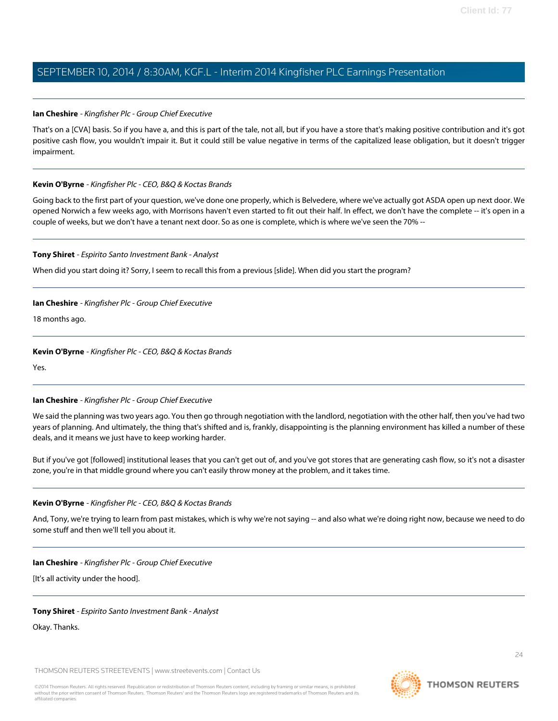#### **Ian Cheshire** - Kingfisher Plc - Group Chief Executive

That's on a [CVA] basis. So if you have a, and this is part of the tale, not all, but if you have a store that's making positive contribution and it's got positive cash flow, you wouldn't impair it. But it could still be value negative in terms of the capitalized lease obligation, but it doesn't trigger impairment.

#### **Kevin O'Byrne** - Kingfisher Plc - CEO, B&Q & Koctas Brands

Going back to the first part of your question, we've done one properly, which is Belvedere, where we've actually got ASDA open up next door. We opened Norwich a few weeks ago, with Morrisons haven't even started to fit out their half. In effect, we don't have the complete -- it's open in a couple of weeks, but we don't have a tenant next door. So as one is complete, which is where we've seen the 70% --

#### **Tony Shiret** - Espirito Santo Investment Bank - Analyst

When did you start doing it? Sorry, I seem to recall this from a previous [slide]. When did you start the program?

#### **Ian Cheshire** - Kingfisher Plc - Group Chief Executive

18 months ago.

#### **Kevin O'Byrne** - Kingfisher Plc - CEO, B&Q & Koctas Brands

Yes.

#### **Ian Cheshire** - Kingfisher Plc - Group Chief Executive

We said the planning was two years ago. You then go through negotiation with the landlord, negotiation with the other half, then you've had two years of planning. And ultimately, the thing that's shifted and is, frankly, disappointing is the planning environment has killed a number of these deals, and it means we just have to keep working harder.

But if you've got [followed] institutional leases that you can't get out of, and you've got stores that are generating cash flow, so it's not a disaster zone, you're in that middle ground where you can't easily throw money at the problem, and it takes time.

#### **Kevin O'Byrne** - Kingfisher Plc - CEO, B&Q & Koctas Brands

And, Tony, we're trying to learn from past mistakes, which is why we're not saying -- and also what we're doing right now, because we need to do some stuff and then we'll tell you about it.

#### **Ian Cheshire** - Kingfisher Plc - Group Chief Executive

[It's all activity under the hood].

#### **Tony Shiret** - Espirito Santo Investment Bank - Analyst

Okay. Thanks.

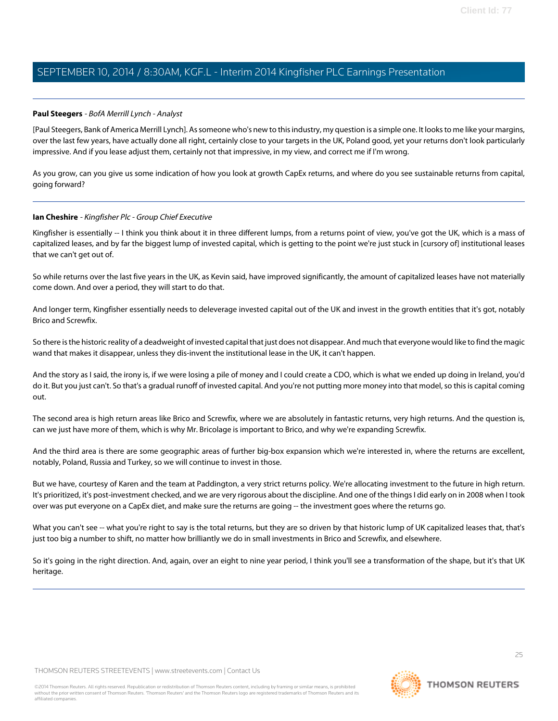#### <span id="page-24-0"></span>**Paul Steegers** - BofA Merrill Lynch - Analyst

[Paul Steegers, Bank of America Merrill Lynch]. As someone who's new to this industry, my question is a simple one. It looks to me like your margins, over the last few years, have actually done all right, certainly close to your targets in the UK, Poland good, yet your returns don't look particularly impressive. And if you lease adjust them, certainly not that impressive, in my view, and correct me if I'm wrong.

As you grow, can you give us some indication of how you look at growth CapEx returns, and where do you see sustainable returns from capital, going forward?

#### **Ian Cheshire** - Kingfisher Plc - Group Chief Executive

Kingfisher is essentially -- I think you think about it in three different lumps, from a returns point of view, you've got the UK, which is a mass of capitalized leases, and by far the biggest lump of invested capital, which is getting to the point we're just stuck in [cursory of] institutional leases that we can't get out of.

So while returns over the last five years in the UK, as Kevin said, have improved significantly, the amount of capitalized leases have not materially come down. And over a period, they will start to do that.

And longer term, Kingfisher essentially needs to deleverage invested capital out of the UK and invest in the growth entities that it's got, notably Brico and Screwfix.

So there is the historic reality of a deadweight of invested capital that just does not disappear. And much that everyone would like to find the magic wand that makes it disappear, unless they dis-invent the institutional lease in the UK, it can't happen.

And the story as I said, the irony is, if we were losing a pile of money and I could create a CDO, which is what we ended up doing in Ireland, you'd do it. But you just can't. So that's a gradual runoff of invested capital. And you're not putting more money into that model, so this is capital coming out.

The second area is high return areas like Brico and Screwfix, where we are absolutely in fantastic returns, very high returns. And the question is, can we just have more of them, which is why Mr. Bricolage is important to Brico, and why we're expanding Screwfix.

And the third area is there are some geographic areas of further big-box expansion which we're interested in, where the returns are excellent, notably, Poland, Russia and Turkey, so we will continue to invest in those.

But we have, courtesy of Karen and the team at Paddington, a very strict returns policy. We're allocating investment to the future in high return. It's prioritized, it's post-investment checked, and we are very rigorous about the discipline. And one of the things I did early on in 2008 when I took over was put everyone on a CapEx diet, and make sure the returns are going -- the investment goes where the returns go.

What you can't see -- what you're right to say is the total returns, but they are so driven by that historic lump of UK capitalized leases that, that's just too big a number to shift, no matter how brilliantly we do in small investments in Brico and Screwfix, and elsewhere.

So it's going in the right direction. And, again, over an eight to nine year period, I think you'll see a transformation of the shape, but it's that UK heritage.